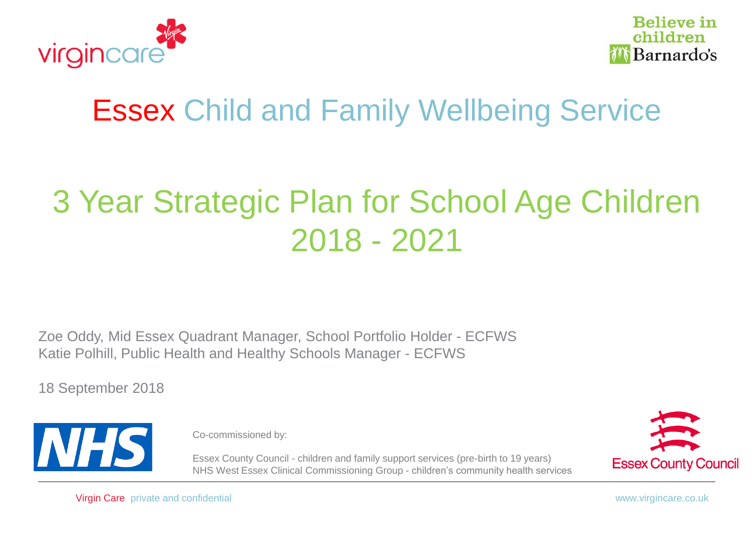



# Essex Child and Family Wellbeing Service

# 3 Year Strategic Plan for School Age Children 2018 - 2021

Zoe Oddy, Mid Essex Quadrant Manager, School Portfolio Holder - ECFWS Katie Polhill, Public Health and Healthy Schools Manager - ECFWS

18 September 2018



Co-commissioned by:

Essex County Council - children and family support services (pre-birth to 19 years) NHS West Essex Clinical Commissioning Group - children's community health services



Virgin Care private and confidential www.virgincare.co.uk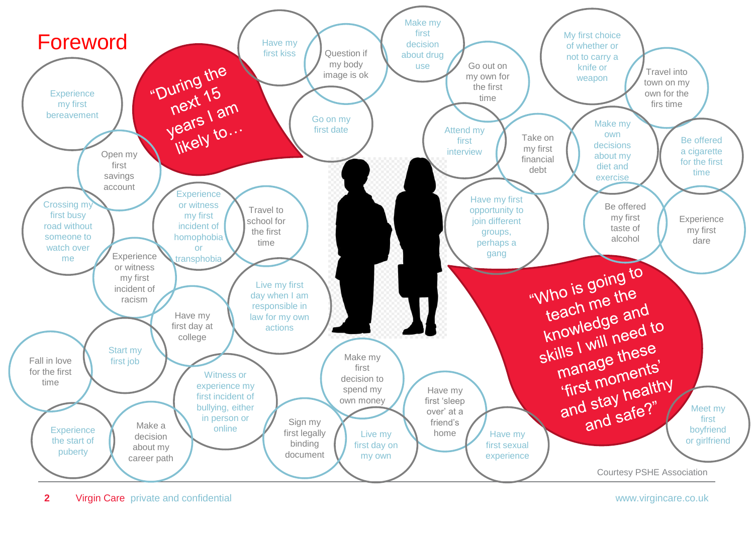

**2** Virgin Care private and confidential www.virgincare.co.uk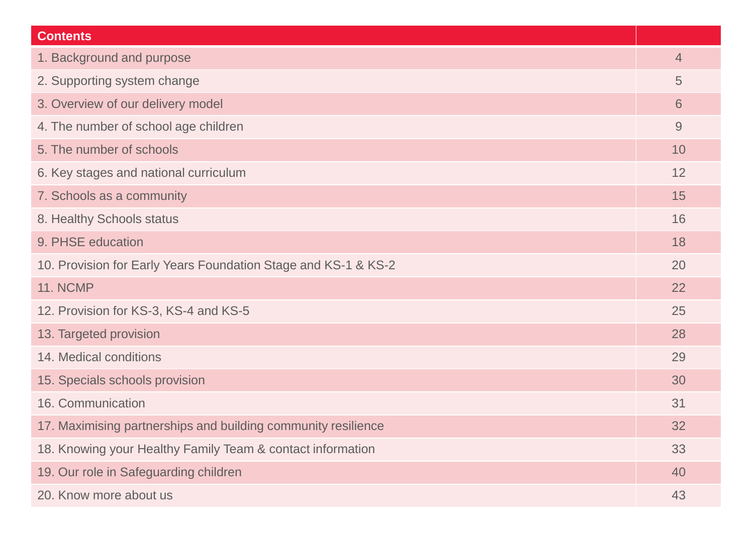| <b>Contents</b>                                                |                |
|----------------------------------------------------------------|----------------|
| 1. Background and purpose                                      | $\overline{4}$ |
| 2. Supporting system change                                    | 5              |
| 3. Overview of our delivery model                              | 6              |
| 4. The number of school age children                           | 9              |
| 5. The number of schools                                       | 10             |
| 6. Key stages and national curriculum                          | 12             |
| 7. Schools as a community                                      | 15             |
| 8. Healthy Schools status                                      | 16             |
| 9. PHSE education                                              | 18             |
| 10. Provision for Early Years Foundation Stage and KS-1 & KS-2 | 20             |
| <b>11. NCMP</b>                                                | 22             |
| 12. Provision for KS-3, KS-4 and KS-5                          | 25             |
| 13. Targeted provision                                         | 28             |
| 14. Medical conditions                                         | 29             |
| 15. Specials schools provision                                 | 30             |
| 16. Communication                                              | 31             |
| 17. Maximising partnerships and building community resilience  | 32             |
| 18. Knowing your Healthy Family Team & contact information     | 33             |
| 19. Our role in Safeguarding children                          | 40             |
| 20. Know more about us                                         | 43             |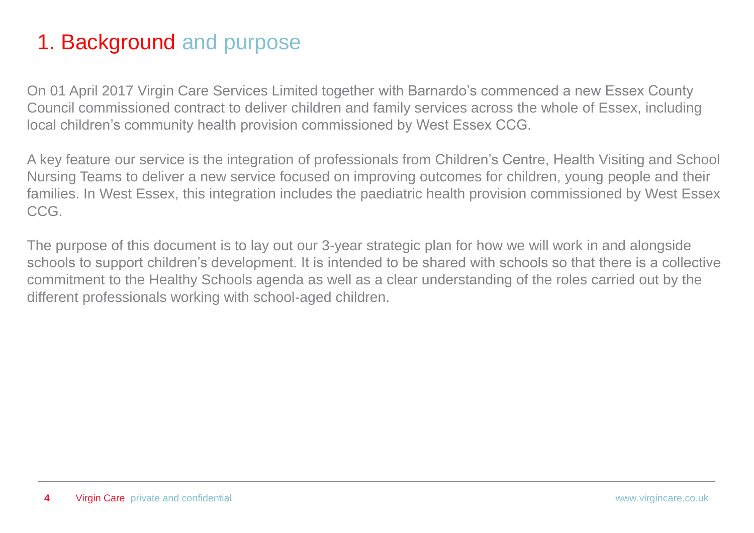#### 1. Background and purpose

On 01 April 2017 Virgin Care Services Limited together with Barnardo's commenced a new Essex County Council commissioned contract to deliver children and family services across the whole of Essex, including local children's community health provision commissioned by West Essex CCG.

A key feature our service is the integration of professionals from Children's Centre, Health Visiting and School Nursing Teams to deliver a new service focused on improving outcomes for children, young people and their families. In West Essex, this integration includes the paediatric health provision commissioned by West Essex CCG.

The purpose of this document is to lay out our 3-year strategic plan for how we will work in and alongside schools to support children's development. It is intended to be shared with schools so that there is a collective commitment to the Healthy Schools agenda as well as a clear understanding of the roles carried out by the different professionals working with school-aged children.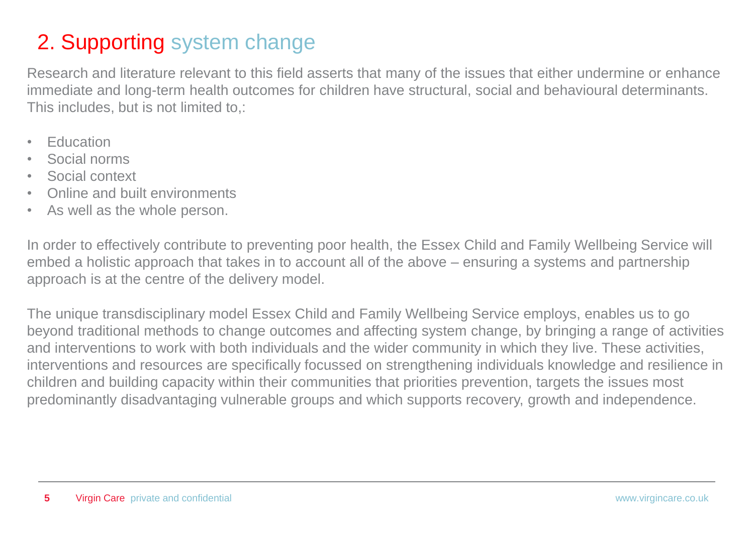#### 2. Supporting system change

Research and literature relevant to this field asserts that many of the issues that either undermine or enhance immediate and long-term health outcomes for children have structural, social and behavioural determinants. This includes, but is not limited to,:

- Education
- Social norms
- Social context
- Online and built environments
- As well as the whole person.

In order to effectively contribute to preventing poor health, the Essex Child and Family Wellbeing Service will embed a holistic approach that takes in to account all of the above – ensuring a systems and partnership approach is at the centre of the delivery model.

The unique transdisciplinary model Essex Child and Family Wellbeing Service employs, enables us to go beyond traditional methods to change outcomes and affecting system change, by bringing a range of activities and interventions to work with both individuals and the wider community in which they live. These activities, interventions and resources are specifically focussed on strengthening individuals knowledge and resilience in children and building capacity within their communities that priorities prevention, targets the issues most predominantly disadvantaging vulnerable groups and which supports recovery, growth and independence.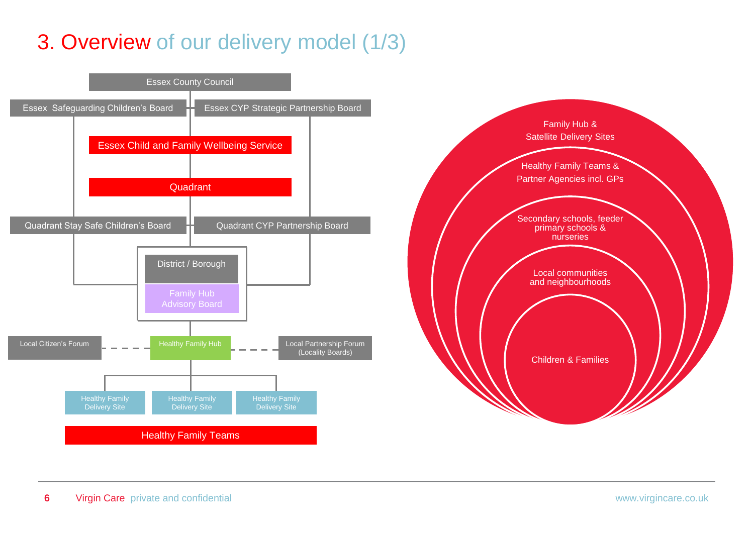### 3. Overview of our delivery model (1/3)

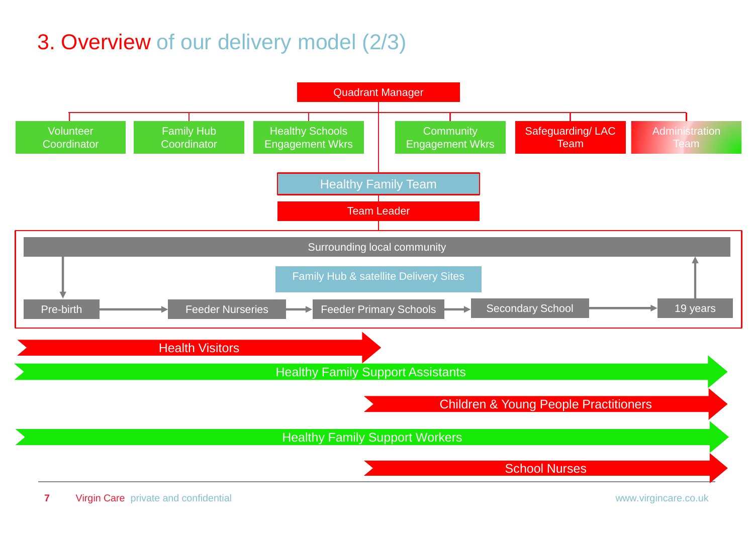### 3. Overview of our delivery model (2/3)

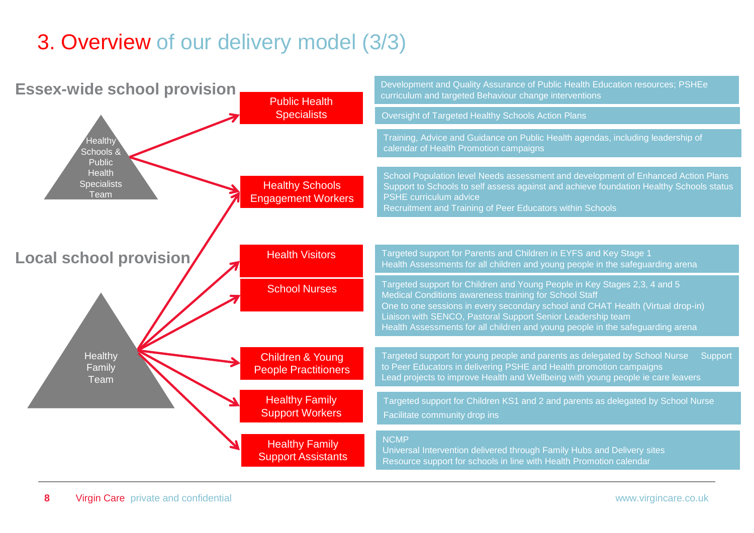### 3. Overview of our delivery model (3/3)

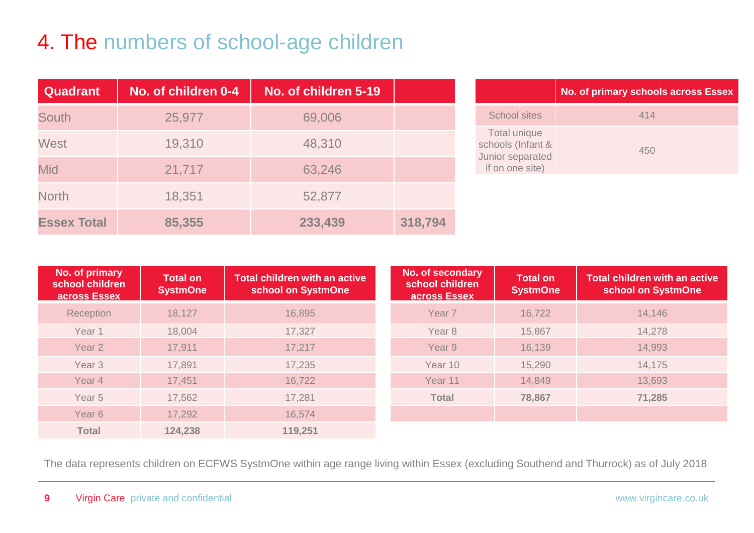### 4. The numbers of school-age children

| <b>Quadrant</b>    | No. of children 0-4 | No. of children 5-19 |         |
|--------------------|---------------------|----------------------|---------|
| <b>South</b>       | 25,977              | 69,006               |         |
| <b>West</b>        | 19,310              | 48,310               |         |
| <b>Mid</b>         | 21,717              | 63,246               |         |
| <b>North</b>       | 18,351              | 52,877               |         |
| <b>Essex Total</b> | 85,355              | 233,439              | 318,794 |

|                                                                          | <b>No. of primary schools across Essex</b> |
|--------------------------------------------------------------------------|--------------------------------------------|
| School sites                                                             | 414                                        |
| Total unique<br>schools (Infant &<br>Junior separated<br>if on one site) | 450                                        |

| No. of primary<br>school children<br>across Essex | <b>Total on</b><br><b>SystmOne</b> | <b>Total children with an active</b><br>school on SystmOne | No. of secondary<br>school children<br>across Essex | Total on<br><b>SystmOne</b> | <b>Total children with an active</b><br>school on SystmOne |
|---------------------------------------------------|------------------------------------|------------------------------------------------------------|-----------------------------------------------------|-----------------------------|------------------------------------------------------------|
| Reception                                         | 18,127                             | 16,895                                                     | Year <sub>7</sub>                                   | 16,722                      | 14,146                                                     |
| Year 1                                            | 18,004                             | 17,327                                                     | Year <sub>8</sub>                                   | 15,867                      | 14,278                                                     |
| Year 2                                            | 17,911                             | 17,217                                                     | Year 9                                              | 16,139                      | 14,993                                                     |
| Year <sub>3</sub>                                 | 17,891                             | 17,235                                                     | Year 10                                             | 15,290                      | 14,175                                                     |
| Year 4                                            | 17,451                             | 16,722                                                     | Year 11                                             | 14,849                      | 13,693                                                     |
| Year <sub>5</sub>                                 | 17,562                             | 17,281                                                     | <b>Total</b>                                        | 78,867                      | 71,285                                                     |
| Year <sub>6</sub>                                 | 17,292                             | 16,574                                                     |                                                     |                             |                                                            |
| <b>Total</b>                                      | 124,238                            | 119,251                                                    |                                                     |                             |                                                            |

The data represents children on ECFWS SystmOne within age range living within Essex (excluding Southend and Thurrock) as of July 2018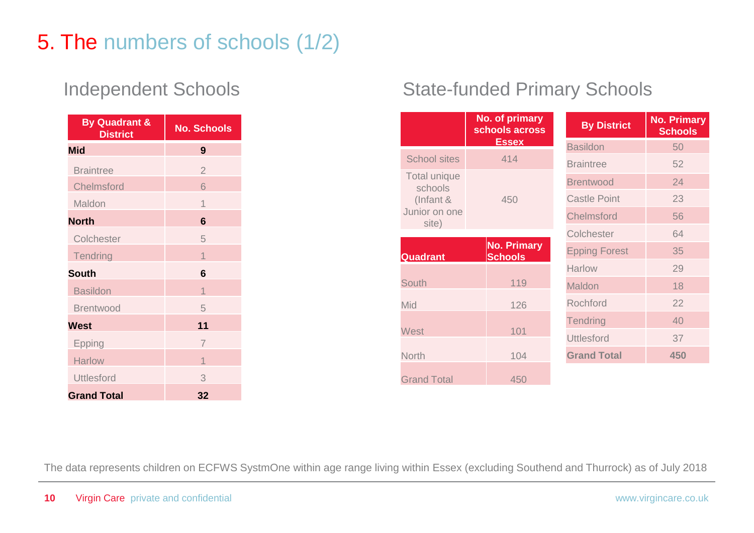### 5. The numbers of schools (1/2)

| <b>By Quadrant &amp;</b><br><b>District</b> | <b>No. Schools</b> |
|---------------------------------------------|--------------------|
| <b>Mid</b>                                  | 9                  |
| <b>Braintree</b>                            | $\overline{2}$     |
| <b>Chelmsford</b>                           | 6                  |
| Maldon                                      | 1                  |
| <b>North</b>                                | 6                  |
| Colchester                                  | 5                  |
| <b>Tendring</b>                             | 1                  |
| <b>South</b>                                | 6                  |
| <b>Basildon</b>                             | $\overline{1}$     |
| <b>Brentwood</b>                            | 5                  |
| <b>West</b>                                 | 11                 |
| Epping                                      | $\overline{7}$     |
| <b>Harlow</b>                               | 1                  |
| <b>Uttlesford</b>                           | 3                  |
| <b>Grand Total</b>                          | 32                 |

#### Independent Schools State-funded Primary Schools

|                                | No. of primary<br>schools across     | <b>By District</b>   |     | <b>No. Primary</b><br><b>Schools</b> |  |
|--------------------------------|--------------------------------------|----------------------|-----|--------------------------------------|--|
|                                | <b>Essex</b>                         | <b>Basildon</b>      | 50  |                                      |  |
| <b>School sites</b>            | 414                                  | <b>Braintree</b>     | 52  |                                      |  |
| <b>Total unique</b><br>schools |                                      | <b>Brentwood</b>     | 24  |                                      |  |
| (Infant &                      | 450                                  | <b>Castle Point</b>  | 23  |                                      |  |
| Junior on one<br>site)         |                                      | <b>Chelmsford</b>    | 56  |                                      |  |
|                                |                                      | Colchester           | 64  |                                      |  |
| <b>Quadrant</b>                | <b>No. Primary</b><br><b>Schools</b> | <b>Epping Forest</b> | 35  |                                      |  |
|                                |                                      | <b>Harlow</b>        | 29  |                                      |  |
| <b>South</b>                   | 119                                  | Maldon               | 18  |                                      |  |
| Mid                            | 126                                  | Rochford             | 22  |                                      |  |
|                                |                                      | <b>Tendring</b>      | 40  |                                      |  |
| West                           | 101                                  | <b>Uttlesford</b>    | 37  |                                      |  |
| <b>North</b>                   | 104                                  | <b>Grand Total</b>   | 450 |                                      |  |
| <b>Grand Total</b>             | 450                                  |                      |     |                                      |  |

The data represents children on ECFWS SystmOne within age range living within Essex (excluding Southend and Thurrock) as of July 2018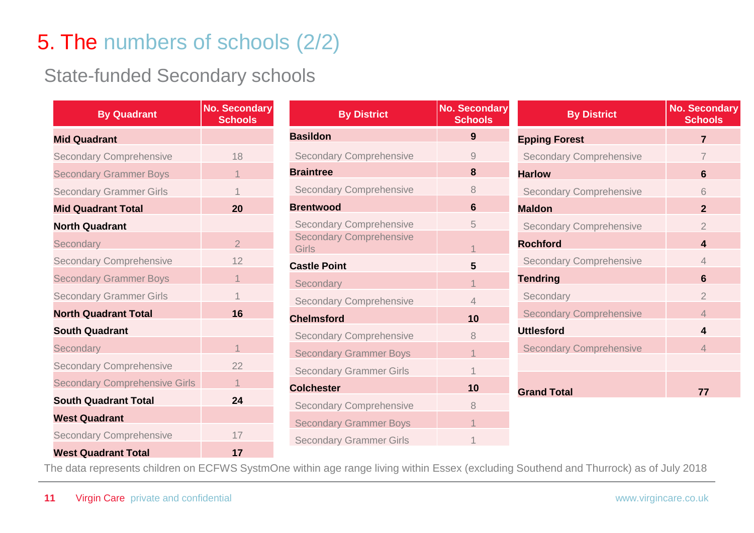#### 5. The numbers of schools (2/2)

#### State-funded Secondary schools

| <b>By Quadrant</b>                   | <b>No. Secondary</b><br><b>Schools</b> |
|--------------------------------------|----------------------------------------|
| <b>Mid Quadrant</b>                  |                                        |
| <b>Secondary Comprehensive</b>       | 18                                     |
| <b>Secondary Grammer Boys</b>        | 1                                      |
| <b>Secondary Grammer Girls</b>       | 1                                      |
| <b>Mid Quadrant Total</b>            | 20                                     |
| <b>North Quadrant</b>                |                                        |
| Secondary                            | $\overline{2}$                         |
| <b>Secondary Comprehensive</b>       | 12                                     |
| <b>Secondary Grammer Boys</b>        | 1                                      |
| <b>Secondary Grammer Girls</b>       | $\overline{1}$                         |
| <b>North Quadrant Total</b>          | 16                                     |
| <b>South Quadrant</b>                |                                        |
| Secondary                            | $\overline{1}$                         |
| <b>Secondary Comprehensive</b>       | 22                                     |
| <b>Secondary Comprehensive Girls</b> | $\overline{1}$                         |
| <b>South Quadrant Total</b>          | 24                                     |
| <b>West Quadrant</b>                 |                                        |
| <b>Secondary Comprehensive</b>       | 17                                     |
| <b>West Quadrant Total</b>           | 17                                     |

| <b>By District</b>                      | <b>No. Secondary</b><br><b>Schools</b> |
|-----------------------------------------|----------------------------------------|
| <b>Basildon</b>                         | 9                                      |
| <b>Secondary Comprehensive</b>          | 9                                      |
| <b>Braintree</b>                        | 8                                      |
| <b>Secondary Comprehensive</b>          | 8                                      |
| <b>Brentwood</b>                        | 6                                      |
| <b>Secondary Comprehensive</b>          | 5                                      |
| <b>Secondary Comprehensive</b><br>Girls | $\overline{1}$                         |
| <b>Castle Point</b>                     | 5                                      |
| Secondary                               | $\overline{1}$                         |
| <b>Secondary Comprehensive</b>          | $\overline{4}$                         |
| <b>Chelmsford</b>                       | 10                                     |
| <b>Secondary Comprehensive</b>          | 8                                      |
| <b>Secondary Grammer Boys</b>           | $\overline{1}$                         |
| <b>Secondary Grammer Girls</b>          | $\overline{\mathcal{L}}$               |
| <b>Colchester</b>                       | 10                                     |
| <b>Secondary Comprehensive</b>          | 8                                      |
| <b>Secondary Grammer Boys</b>           | $\overline{1}$                         |
| <b>Secondary Grammer Girls</b>          | 1                                      |

| <b>By District</b>             | No. Secondary<br><b>Schools</b> |
|--------------------------------|---------------------------------|
| <b>Epping Forest</b>           | 7                               |
| <b>Secondary Comprehensive</b> | 7                               |
| <b>Harlow</b>                  | 6                               |
| <b>Secondary Comprehensive</b> | 6                               |
| <b>Maldon</b>                  | $\mathbf{2}$                    |
| <b>Secondary Comprehensive</b> | $\mathfrak{D}$                  |
| <b>Rochford</b>                | 4                               |
| <b>Secondary Comprehensive</b> | $\Delta$                        |
| <b>Tendring</b>                | 6                               |
| Secondary                      | $\mathfrak{D}$                  |
| <b>Secondary Comprehensive</b> | $\Delta$                        |
| <b>Uttlesford</b>              | 4                               |
| <b>Secondary Comprehensive</b> | $\Delta$                        |
|                                |                                 |
| <b>Grand Total</b>             | 77                              |

The data represents children on ECFWS SystmOne within age range living within Essex (excluding Southend and Thurrock) as of July 2018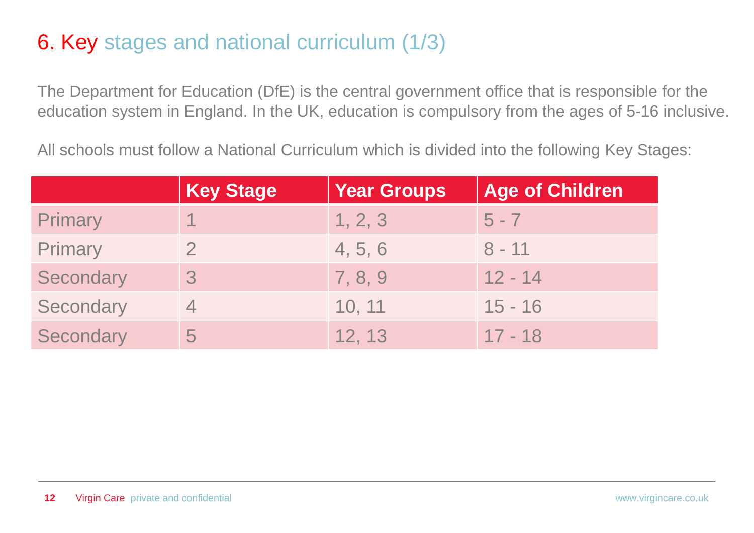#### 6. Key stages and national curriculum (1/3)

The Department for Education (DfE) is the central government office that is responsible for the education system in England. In the UK, education is compulsory from the ages of 5-16 inclusive.

All schools must follow a National Curriculum which is divided into the following Key Stages:

|           | <b>Key Stage</b> | <b>Year Groups</b> | <b>Age of Children</b> |
|-----------|------------------|--------------------|------------------------|
| Primary   |                  | 1, 2, 3            | $5 - 7$                |
| Primary   |                  | 4, 5, 6            | $8 - 11$               |
| Secondary |                  | 7, 8, 9            | $12 - 14$              |
| Secondary |                  | 10, 11             | $15 - 16$              |
| Secondary | 5                | 12, 13             | $17 - 18$              |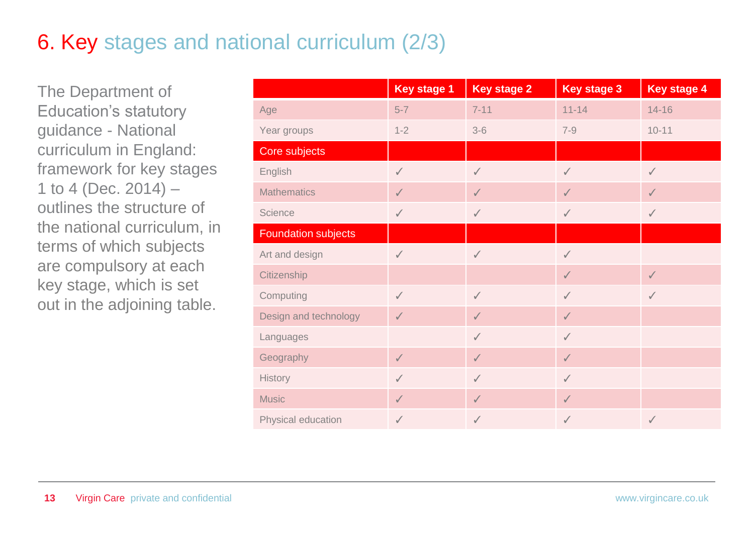### 6. Key stages and national curriculum (2/3)

The Department of Education's statutory guidance - National curriculum in England: framework for key stages 1 to 4 (Dec.  $2014$ ) – outlines the structure of the national curriculum, in terms of which subjects are compulsory at each key stage, which is set out in the adjoining table.

|                            | <b>Key stage 1</b> | <b>Key stage 2</b> | <b>Key stage 3</b> | <b>Key stage 4</b> |
|----------------------------|--------------------|--------------------|--------------------|--------------------|
| Age                        | $5-7$              | $7 - 11$           | $11 - 14$          | $14 - 16$          |
| Year groups                | $1 - 2$            | $3-6$              | $7 - 9$            | $10 - 11$          |
| Core subjects              |                    |                    |                    |                    |
| English                    | $\checkmark$       | $\checkmark$       | $\checkmark$       | $\checkmark$       |
| <b>Mathematics</b>         | $\checkmark$       | $\checkmark$       | $\checkmark$       | $\checkmark$       |
| <b>Science</b>             | $\checkmark$       | $\checkmark$       | $\checkmark$       | $\checkmark$       |
| <b>Foundation subjects</b> |                    |                    |                    |                    |
| Art and design             | $\checkmark$       | $\checkmark$       | $\checkmark$       |                    |
| Citizenship                |                    |                    | $\checkmark$       | $\checkmark$       |
| Computing                  | $\checkmark$       | $\checkmark$       | $\checkmark$       | $\checkmark$       |
| Design and technology      | $\checkmark$       | $\checkmark$       | $\checkmark$       |                    |
| Languages                  |                    | $\checkmark$       | $\checkmark$       |                    |
| Geography                  | $\checkmark$       | $\checkmark$       | $\checkmark$       |                    |
| <b>History</b>             | $\checkmark$       | $\checkmark$       | $\checkmark$       |                    |
| <b>Music</b>               | $\checkmark$       | $\checkmark$       | $\checkmark$       |                    |
| Physical education         | ✓                  | ✓                  | $\checkmark$       | $\checkmark$       |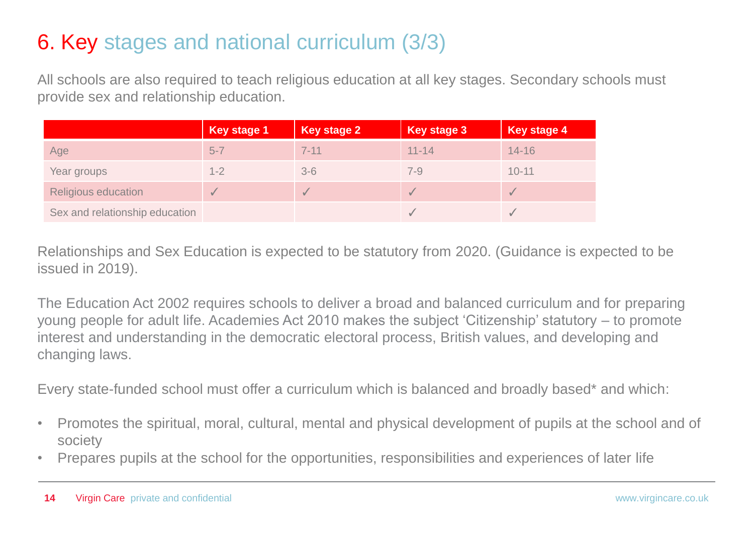#### 6. Key stages and national curriculum (3/3)

All schools are also required to teach religious education at all key stages. Secondary schools must provide sex and relationship education.

|                                | <b>Key stage 1</b> | Key stage 2 | <b>Key stage 3</b> | <b>Key stage 4</b> |
|--------------------------------|--------------------|-------------|--------------------|--------------------|
| Age                            | $5 - 7$            | $7 - 11$    | $11 - 14$          | $14 - 16$          |
| Year groups                    | $1 - 2$            | $3 - 6$     | $7 - 9$            | $10 - 11$          |
| <b>Religious education</b>     |                    |             |                    |                    |
| Sex and relationship education |                    |             |                    |                    |

Relationships and Sex Education is expected to be statutory from 2020. (Guidance is expected to be issued in 2019).

The Education Act 2002 requires schools to deliver a broad and balanced curriculum and for preparing young people for adult life. Academies Act 2010 makes the subject 'Citizenship' statutory – to promote interest and understanding in the democratic electoral process, British values, and developing and changing laws.

Every state-funded school must offer a curriculum which is balanced and broadly based\* and which:

- Promotes the spiritual, moral, cultural, mental and physical development of pupils at the school and of society
- Prepares pupils at the school for the opportunities, responsibilities and experiences of later life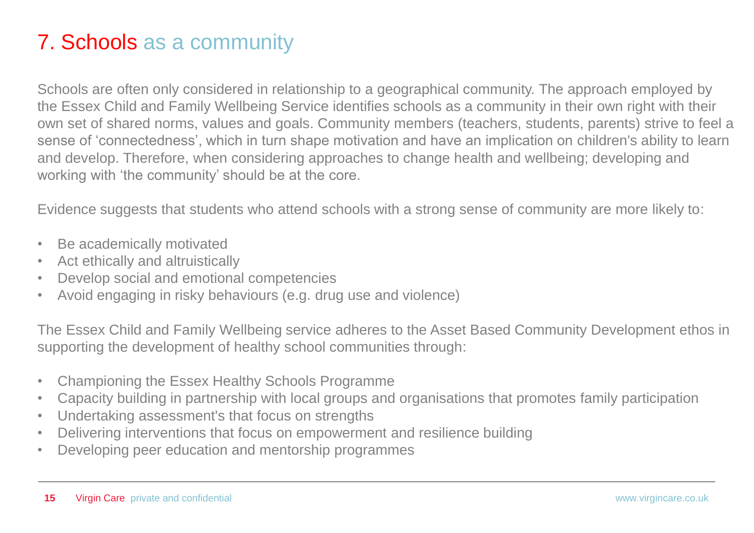#### 7. Schools as a community

Schools are often only considered in relationship to a geographical community. The approach employed by the Essex Child and Family Wellbeing Service identifies schools as a community in their own right with their own set of shared norms, values and goals. Community members (teachers, students, parents) strive to feel a sense of 'connectedness', which in turn shape motivation and have an implication on children's ability to learn and develop. Therefore, when considering approaches to change health and wellbeing; developing and working with 'the community' should be at the core.

Evidence suggests that students who attend schools with a strong sense of community are more likely to:

- Be academically motivated
- Act ethically and altruistically
- Develop social and emotional competencies
- Avoid engaging in risky behaviours (e.g. drug use and violence)

The Essex Child and Family Wellbeing service adheres to the Asset Based Community Development ethos in supporting the development of healthy school communities through:

- Championing the Essex Healthy Schools Programme
- Capacity building in partnership with local groups and organisations that promotes family participation
- Undertaking assessment's that focus on strengths
- Delivering interventions that focus on empowerment and resilience building
- Developing peer education and mentorship programmes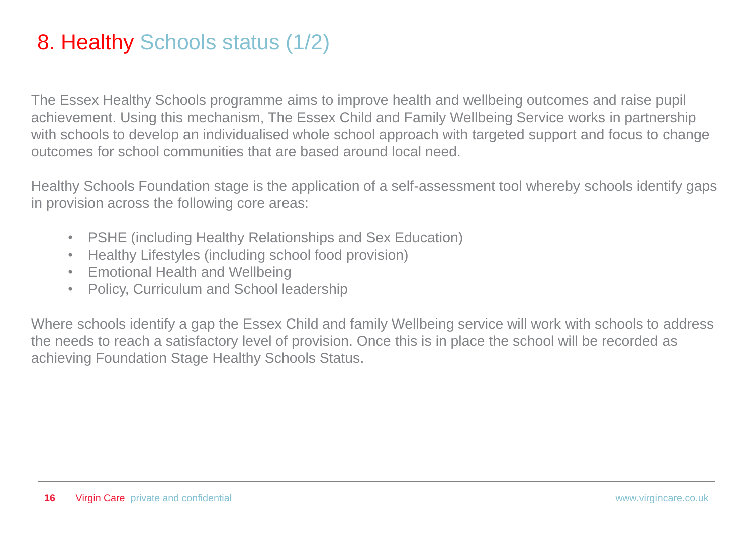#### 8. Healthy Schools status (1/2)

The Essex Healthy Schools programme aims to improve health and wellbeing outcomes and raise pupil achievement. Using this mechanism, The Essex Child and Family Wellbeing Service works in partnership with schools to develop an individualised whole school approach with targeted support and focus to change outcomes for school communities that are based around local need.

Healthy Schools Foundation stage is the application of a self-assessment tool whereby schools identify gaps in provision across the following core areas:

- PSHE (including Healthy Relationships and Sex Education)
- Healthy Lifestyles (including school food provision)
- Emotional Health and Wellbeing
- Policy, Curriculum and School leadership

Where schools identify a gap the Essex Child and family Wellbeing service will work with schools to address the needs to reach a satisfactory level of provision. Once this is in place the school will be recorded as achieving Foundation Stage Healthy Schools Status.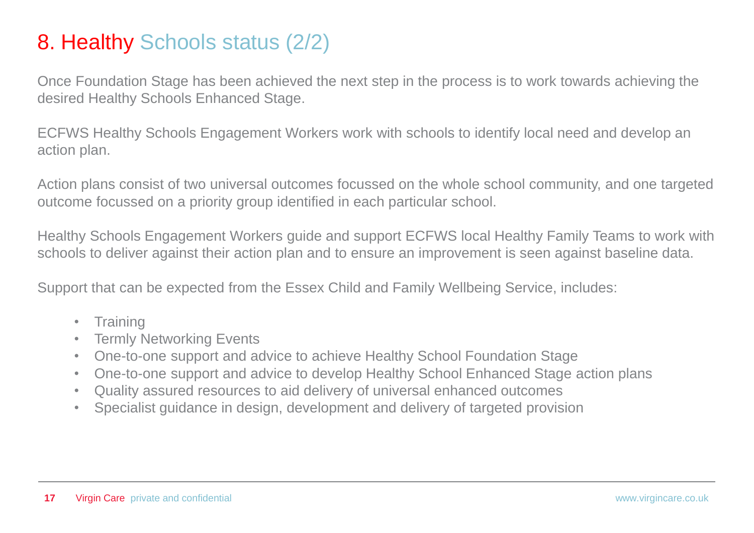#### 8. Healthy Schools status (2/2)

Once Foundation Stage has been achieved the next step in the process is to work towards achieving the desired Healthy Schools Enhanced Stage.

ECFWS Healthy Schools Engagement Workers work with schools to identify local need and develop an action plan.

Action plans consist of two universal outcomes focussed on the whole school community, and one targeted outcome focussed on a priority group identified in each particular school.

Healthy Schools Engagement Workers guide and support ECFWS local Healthy Family Teams to work with schools to deliver against their action plan and to ensure an improvement is seen against baseline data.

Support that can be expected from the Essex Child and Family Wellbeing Service, includes:

- Training
- Termly Networking Events
- One-to-one support and advice to achieve Healthy School Foundation Stage
- One-to-one support and advice to develop Healthy School Enhanced Stage action plans
- Quality assured resources to aid delivery of universal enhanced outcomes
- Specialist guidance in design, development and delivery of targeted provision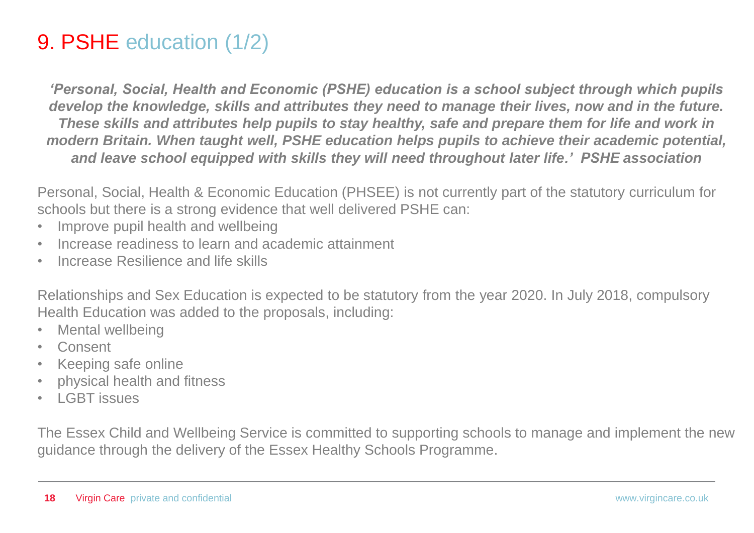#### 9. PSHE education (1/2)

*'Personal, Social, Health and Economic (PSHE) education is a school subject through which pupils develop the knowledge, skills and attributes they need to manage their lives, now and in the future. These skills and attributes help pupils to stay healthy, safe and prepare them for life and work in modern Britain. When taught well, PSHE education helps pupils to achieve their academic potential, and leave school equipped with skills they will need throughout later life.' PSHE association* 

Personal, Social, Health & Economic Education (PHSEE) is not currently part of the statutory curriculum for schools but there is a strong evidence that well delivered PSHE can:

- Improve pupil health and wellbeing
- Increase readiness to learn and academic attainment
- Increase Resilience and life skills

Relationships and Sex Education is expected to be statutory from the year 2020. In July 2018, compulsory Health Education was added to the proposals, including:

- Mental wellbeing
- Consent
- Keeping safe online
- physical health and fitness
- LGBT issues

The Essex Child and Wellbeing Service is committed to supporting schools to manage and implement the new guidance through the delivery of the Essex Healthy Schools Programme.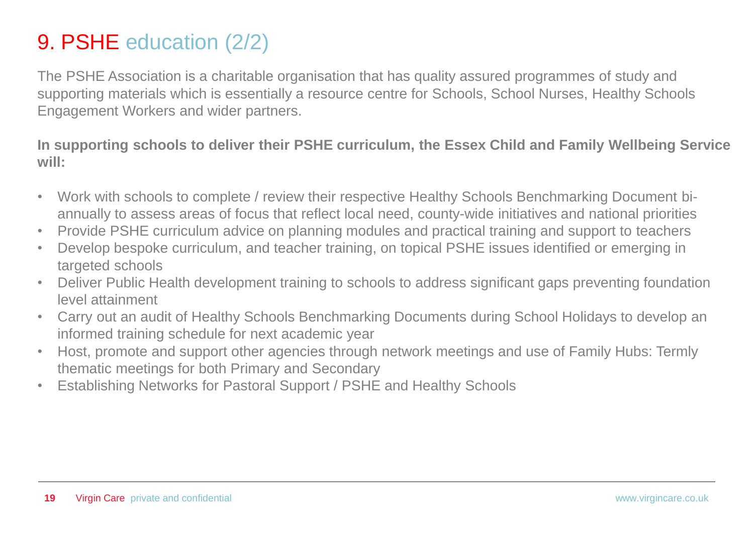#### 9. PSHE education (2/2)

The PSHE Association is a charitable organisation that has quality assured programmes of study and supporting materials which is essentially a resource centre for Schools, School Nurses, Healthy Schools Engagement Workers and wider partners.

**In supporting schools to deliver their PSHE curriculum, the Essex Child and Family Wellbeing Service will:**

- Work with schools to complete / review their respective Healthy Schools Benchmarking Document biannually to assess areas of focus that reflect local need, county-wide initiatives and national priorities
- Provide PSHE curriculum advice on planning modules and practical training and support to teachers
- Develop bespoke curriculum, and teacher training, on topical PSHE issues identified or emerging in targeted schools
- Deliver Public Health development training to schools to address significant gaps preventing foundation level attainment
- Carry out an audit of Healthy Schools Benchmarking Documents during School Holidays to develop an informed training schedule for next academic year
- Host, promote and support other agencies through network meetings and use of Family Hubs: Termly thematic meetings for both Primary and Secondary
- Establishing Networks for Pastoral Support / PSHE and Healthy Schools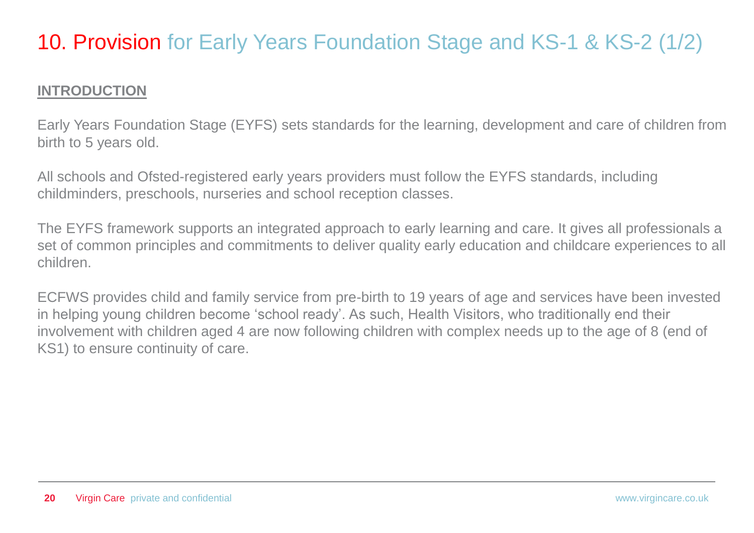#### 10. Provision for Early Years Foundation Stage and KS-1 & KS-2 (1/2)

#### **INTRODUCTION**

Early Years Foundation Stage (EYFS) sets standards for the learning, development and care of children from birth to 5 years old.

All schools and Ofsted-registered early years providers must follow the EYFS standards, including childminders, preschools, nurseries and school reception classes.

The EYFS framework supports an integrated approach to early learning and care. It gives all professionals a set of common principles and commitments to deliver quality early education and childcare experiences to all children.

ECFWS provides child and family service from pre-birth to 19 years of age and services have been invested in helping young children become 'school ready'. As such, Health Visitors, who traditionally end their involvement with children aged 4 are now following children with complex needs up to the age of 8 (end of KS1) to ensure continuity of care.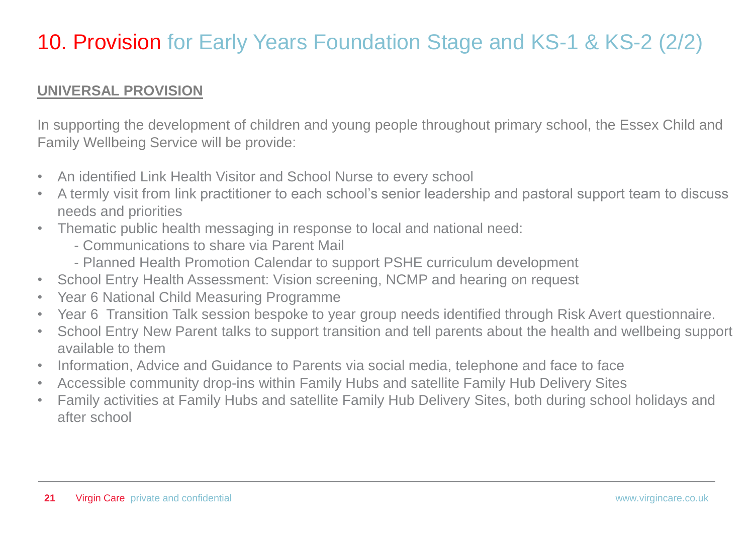#### 10. Provision for Early Years Foundation Stage and KS-1 & KS-2 (2/2)

#### **UNIVERSAL PROVISION**

In supporting the development of children and young people throughout primary school, the Essex Child and Family Wellbeing Service will be provide:

- An identified Link Health Visitor and School Nurse to every school
- A termly visit from link practitioner to each school's senior leadership and pastoral support team to discuss needs and priorities
- Thematic public health messaging in response to local and national need:
	- Communications to share via Parent Mail
	- Planned Health Promotion Calendar to support PSHE curriculum development
- School Entry Health Assessment: Vision screening, NCMP and hearing on request
- Year 6 National Child Measuring Programme
- Year 6 Transition Talk session bespoke to year group needs identified through Risk Avert questionnaire.
- School Entry New Parent talks to support transition and tell parents about the health and wellbeing support available to them
- Information, Advice and Guidance to Parents via social media, telephone and face to face
- Accessible community drop-ins within Family Hubs and satellite Family Hub Delivery Sites
- Family activities at Family Hubs and satellite Family Hub Delivery Sites, both during school holidays and after school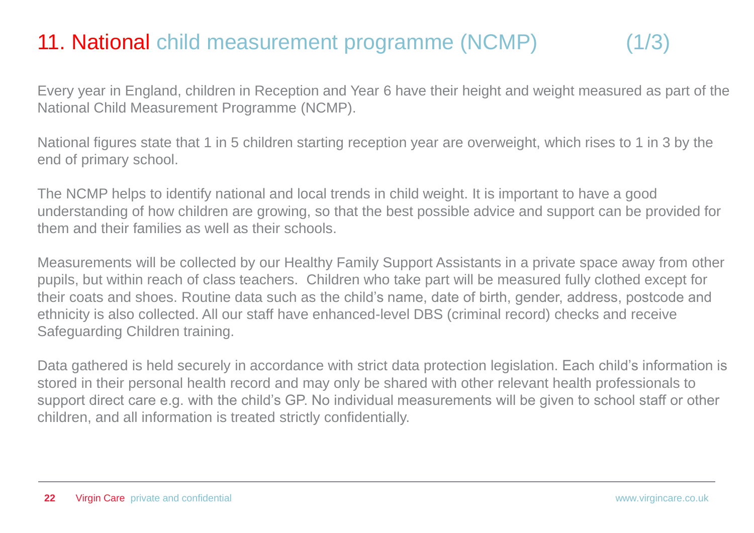### 11. National child measurement programme (NCMP) (1/3)

Every year in England, children in Reception and Year 6 have their height and weight measured as part of the National Child Measurement Programme (NCMP).

National figures state that 1 in 5 children starting reception year are overweight, which rises to 1 in 3 by the end of primary school.

The NCMP helps to identify national and local trends in child weight. It is important to have a good understanding of how children are growing, so that the best possible advice and support can be provided for them and their families as well as their schools.

Measurements will be collected by our Healthy Family Support Assistants in a private space away from other pupils, but within reach of class teachers. Children who take part will be measured fully clothed except for their coats and shoes. Routine data such as the child's name, date of birth, gender, address, postcode and ethnicity is also collected. All our staff have enhanced-level DBS (criminal record) checks and receive Safeguarding Children training.

Data gathered is held securely in accordance with strict data protection legislation. Each child's information is stored in their personal health record and may only be shared with other relevant health professionals to support direct care e.g. with the child's GP. No individual measurements will be given to school staff or other children, and all information is treated strictly confidentially.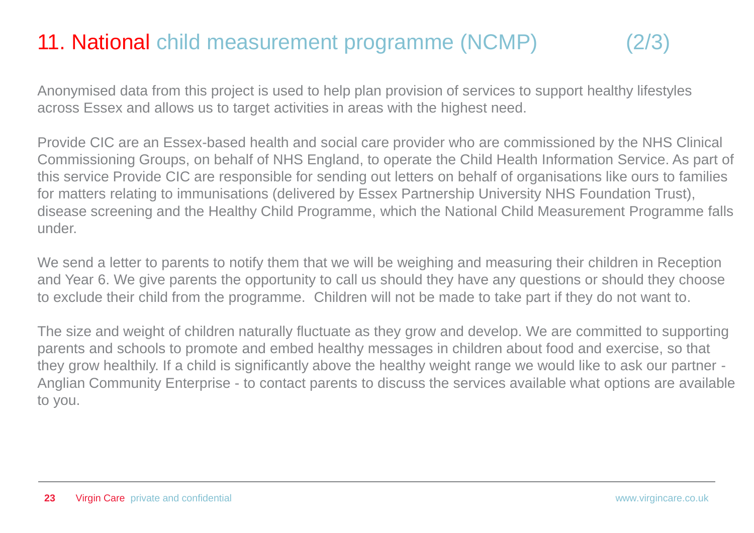### 11. National child measurement programme (NCMP)

Anonymised data from this project is used to help plan provision of services to support healthy lifestyles across Essex and allows us to target activities in areas with the highest need.

Provide CIC are an Essex-based health and social care provider who are commissioned by the NHS Clinical Commissioning Groups, on behalf of NHS England, to operate the Child Health Information Service. As part of this service Provide CIC are responsible for sending out letters on behalf of organisations like ours to families for matters relating to immunisations (delivered by Essex Partnership University NHS Foundation Trust), disease screening and the Healthy Child Programme, which the National Child Measurement Programme falls under.

We send a letter to parents to notify them that we will be weighing and measuring their children in Reception and Year 6. We give parents the opportunity to call us should they have any questions or should they choose to exclude their child from the programme. Children will not be made to take part if they do not want to.

The size and weight of children naturally fluctuate as they grow and develop. We are committed to supporting parents and schools to promote and embed healthy messages in children about food and exercise, so that they grow healthily. If a child is significantly above the healthy weight range we would like to ask our partner - Anglian Community Enterprise - to contact parents to discuss the services available what options are available to you.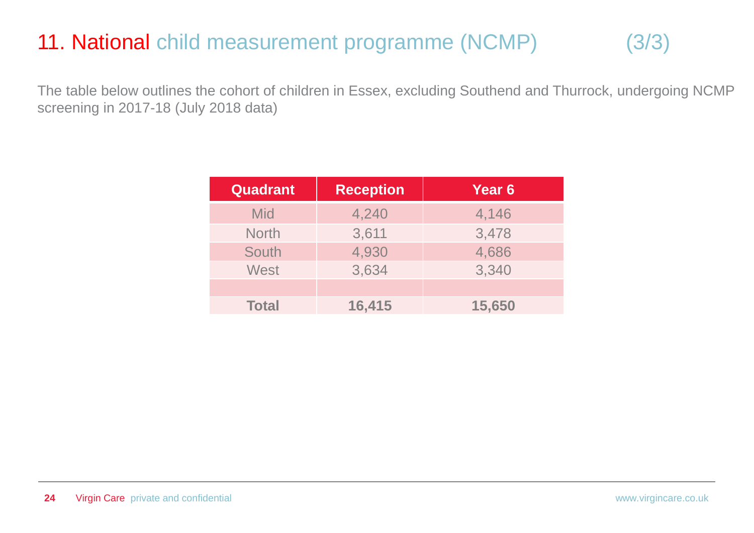### 11. National child measurement programme (NCMP) (3/3)

The table below outlines the cohort of children in Essex, excluding Southend and Thurrock, undergoing NCMP screening in 2017-18 (July 2018 data)

| <b>Quadrant</b> | <b>Reception</b> | Year 6 |
|-----------------|------------------|--------|
| <b>Mid</b>      | 4,240            | 4,146  |
| <b>North</b>    | 3,611            | 3,478  |
| South           | 4,930            | 4,686  |
| <b>West</b>     | 3,634            | 3,340  |
|                 |                  |        |
| <b>Total</b>    | 16,415           | 15,650 |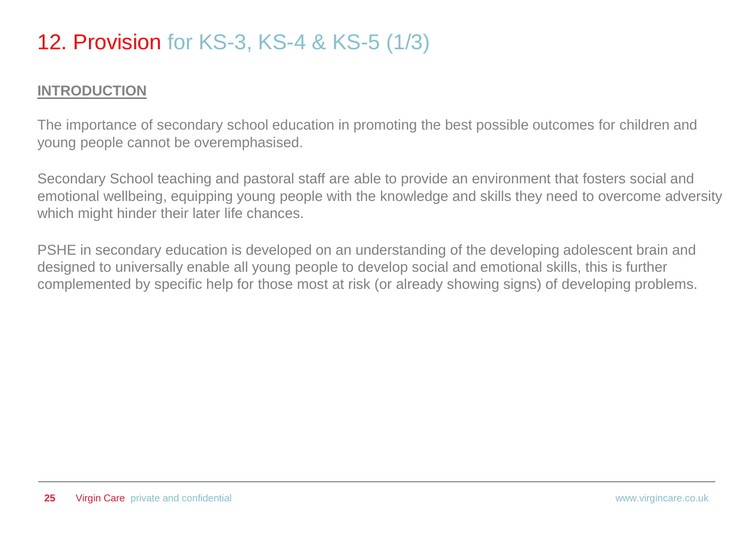#### 12. Provision for KS-3, KS-4 & KS-5 (1/3)

#### **INTRODUCTION**

The importance of secondary school education in promoting the best possible outcomes for children and young people cannot be overemphasised.

Secondary School teaching and pastoral staff are able to provide an environment that fosters social and emotional wellbeing, equipping young people with the knowledge and skills they need to overcome adversity which might hinder their later life chances.

PSHE in secondary education is developed on an understanding of the developing adolescent brain and designed to universally enable all young people to develop social and emotional skills, this is further complemented by specific help for those most at risk (or already showing signs) of developing problems.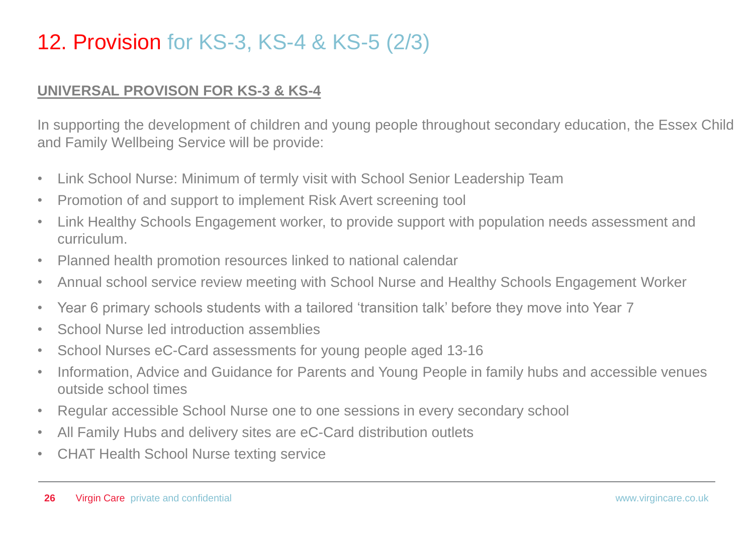#### 12. Provision for KS-3, KS-4 & KS-5 (2/3)

#### **UNIVERSAL PROVISON FOR KS-3 & KS-4**

In supporting the development of children and young people throughout secondary education, the Essex Child and Family Wellbeing Service will be provide:

- Link School Nurse: Minimum of termly visit with School Senior Leadership Team
- Promotion of and support to implement Risk Avert screening tool
- Link Healthy Schools Engagement worker, to provide support with population needs assessment and curriculum.
- Planned health promotion resources linked to national calendar
- Annual school service review meeting with School Nurse and Healthy Schools Engagement Worker
- Year 6 primary schools students with a tailored 'transition talk' before they move into Year 7
- School Nurse led introduction assemblies
- School Nurses eC-Card assessments for young people aged 13-16
- Information, Advice and Guidance for Parents and Young People in family hubs and accessible venues outside school times
- Regular accessible School Nurse one to one sessions in every secondary school
- All Family Hubs and delivery sites are eC-Card distribution outlets
- CHAT Health School Nurse texting service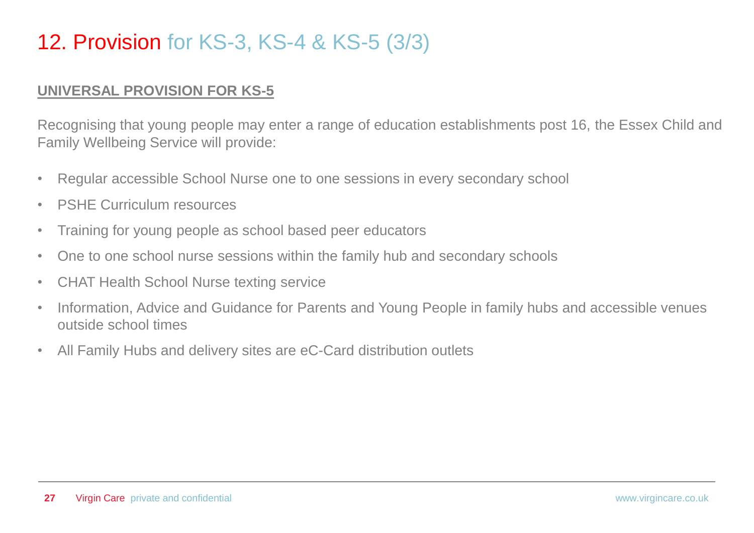#### 12. Provision for KS-3, KS-4 & KS-5 (3/3)

#### **UNIVERSAL PROVISION FOR KS-5**

Recognising that young people may enter a range of education establishments post 16, the Essex Child and Family Wellbeing Service will provide:

- Regular accessible School Nurse one to one sessions in every secondary school
- PSHE Curriculum resources
- Training for young people as school based peer educators
- One to one school nurse sessions within the family hub and secondary schools
- CHAT Health School Nurse texting service
- Information, Advice and Guidance for Parents and Young People in family hubs and accessible venues outside school times
- All Family Hubs and delivery sites are eC-Card distribution outlets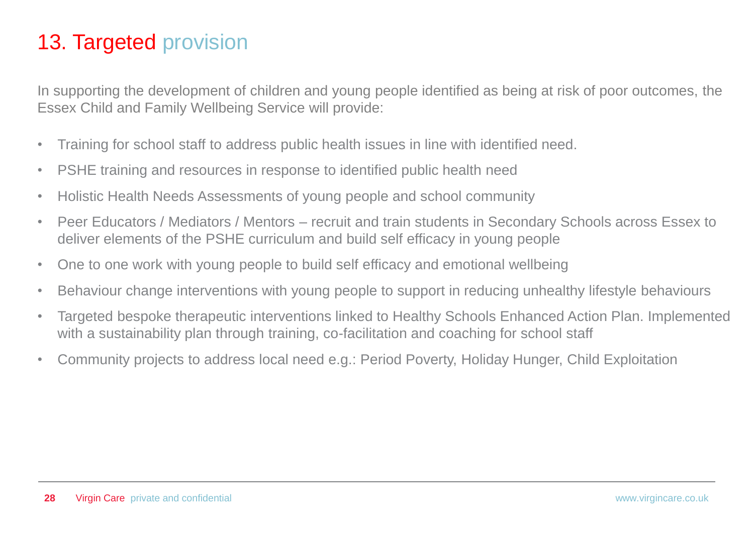#### 13. Targeted provision

In supporting the development of children and young people identified as being at risk of poor outcomes, the Essex Child and Family Wellbeing Service will provide:

- Training for school staff to address public health issues in line with identified need.
- PSHE training and resources in response to identified public health need
- Holistic Health Needs Assessments of young people and school community
- Peer Educators / Mediators / Mentors recruit and train students in Secondary Schools across Essex to deliver elements of the PSHE curriculum and build self efficacy in young people
- One to one work with young people to build self efficacy and emotional wellbeing
- Behaviour change interventions with young people to support in reducing unhealthy lifestyle behaviours
- Targeted bespoke therapeutic interventions linked to Healthy Schools Enhanced Action Plan. Implemented with a sustainability plan through training, co-facilitation and coaching for school staff
- Community projects to address local need e.g.: Period Poverty, Holiday Hunger, Child Exploitation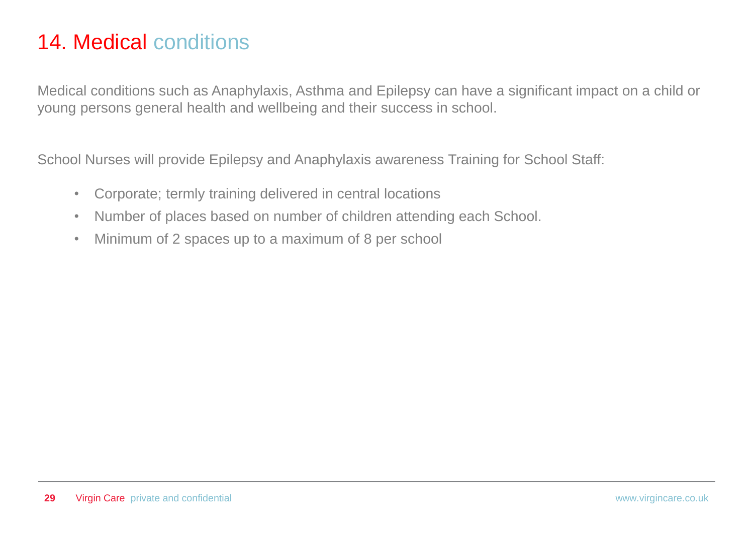#### 14. Medical conditions

Medical conditions such as Anaphylaxis, Asthma and Epilepsy can have a significant impact on a child or young persons general health and wellbeing and their success in school.

School Nurses will provide Epilepsy and Anaphylaxis awareness Training for School Staff:

- Corporate; termly training delivered in central locations
- Number of places based on number of children attending each School.
- Minimum of 2 spaces up to a maximum of 8 per school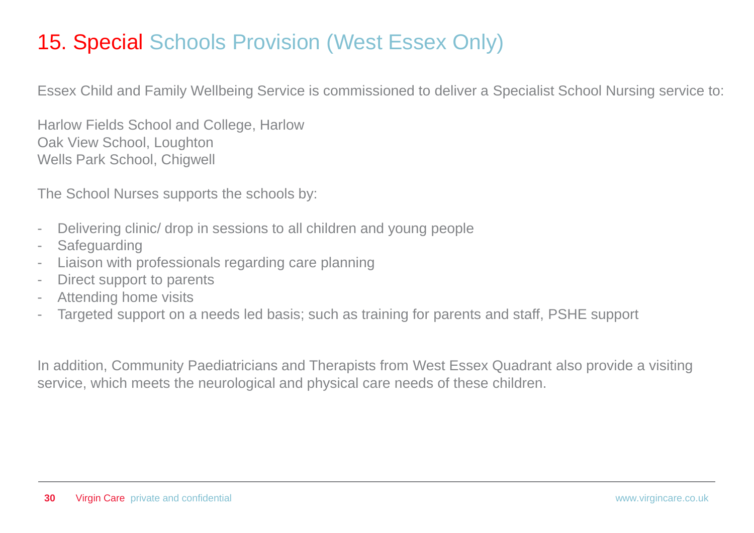#### 15. Special Schools Provision (West Essex Only)

Essex Child and Family Wellbeing Service is commissioned to deliver a Specialist School Nursing service to:

Harlow Fields School and College, Harlow Oak View School, Loughton Wells Park School, Chigwell

The School Nurses supports the schools by:

- Delivering clinic/ drop in sessions to all children and young people
- Safeguarding
- Liaison with professionals regarding care planning
- Direct support to parents
- Attending home visits
- Targeted support on a needs led basis; such as training for parents and staff, PSHE support

In addition, Community Paediatricians and Therapists from West Essex Quadrant also provide a visiting service, which meets the neurological and physical care needs of these children.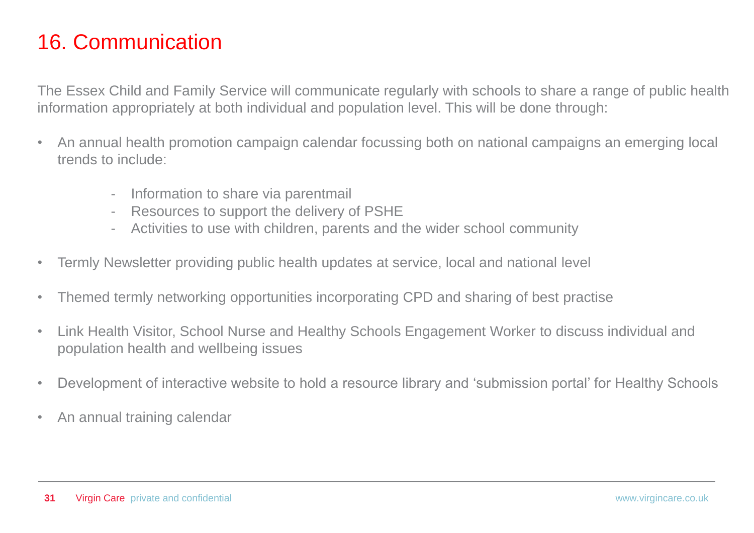#### 16. Communication

The Essex Child and Family Service will communicate regularly with schools to share a range of public health information appropriately at both individual and population level. This will be done through:

- An annual health promotion campaign calendar focussing both on national campaigns an emerging local trends to include:
	- Information to share via parentmail
	- Resources to support the delivery of PSHE
	- Activities to use with children, parents and the wider school community
- Termly Newsletter providing public health updates at service, local and national level
- Themed termly networking opportunities incorporating CPD and sharing of best practise
- Link Health Visitor, School Nurse and Healthy Schools Engagement Worker to discuss individual and population health and wellbeing issues
- Development of interactive website to hold a resource library and 'submission portal' for Healthy Schools
- An annual training calendar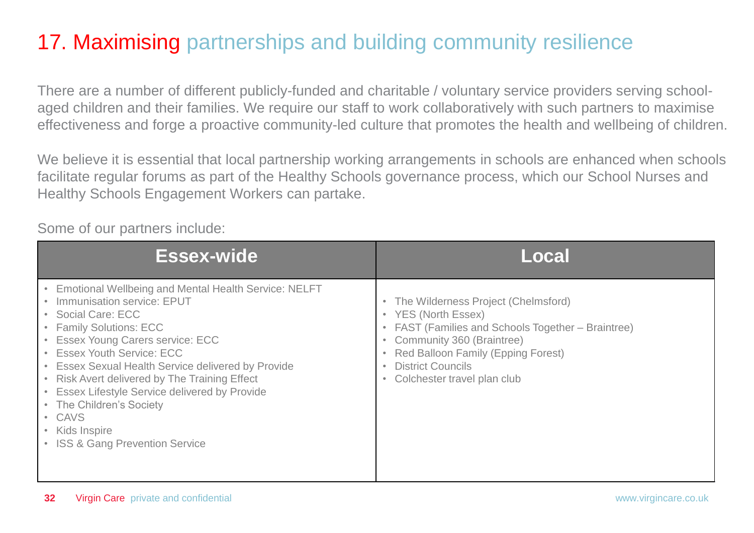#### 17. Maximising partnerships and building community resilience

There are a number of different publicly-funded and charitable / voluntary service providers serving schoolaged children and their families. We require our staff to work collaboratively with such partners to maximise effectiveness and forge a proactive community-led culture that promotes the health and wellbeing of children.

We believe it is essential that local partnership working arrangements in schools are enhanced when schools facilitate regular forums as part of the Healthy Schools governance process, which our School Nurses and Healthy Schools Engagement Workers can partake.

Some of our partners include:

| Essex-wide                                                                                                                                                                                                                                                                                                                                                                                                                                                   | Local                                                                                                                                                                                                                                                                |
|--------------------------------------------------------------------------------------------------------------------------------------------------------------------------------------------------------------------------------------------------------------------------------------------------------------------------------------------------------------------------------------------------------------------------------------------------------------|----------------------------------------------------------------------------------------------------------------------------------------------------------------------------------------------------------------------------------------------------------------------|
| • Emotional Wellbeing and Mental Health Service: NELFT<br>Immunisation service: EPUT<br>• Social Care: ECC<br>• Family Solutions: ECC<br>• Essex Young Carers service: ECC<br>• Essex Youth Service: ECC<br>• Essex Sexual Health Service delivered by Provide<br>• Risk Avert delivered by The Training Effect<br>• Essex Lifestyle Service delivered by Provide<br>• The Children's Society<br>• CAVS<br>• Kids Inspire<br>• ISS & Gang Prevention Service | • The Wilderness Project (Chelmsford)<br>• YES (North Essex)<br>• FAST (Families and Schools Together – Braintree)<br>Community 360 (Braintree)<br><b>Red Balloon Family (Epping Forest)</b><br><b>District Councils</b><br>Colchester travel plan club<br>$\bullet$ |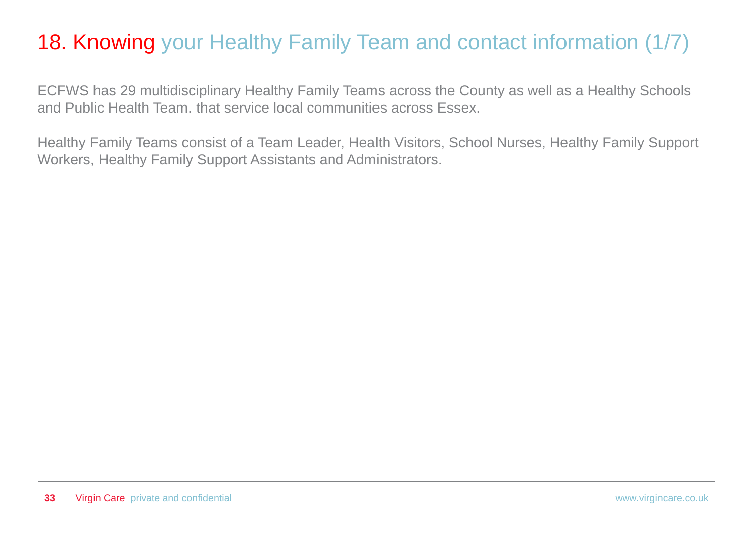#### 18. Knowing your Healthy Family Team and contact information (1/7)

ECFWS has 29 multidisciplinary Healthy Family Teams across the County as well as a Healthy Schools and Public Health Team. that service local communities across Essex.

Healthy Family Teams consist of a Team Leader, Health Visitors, School Nurses, Healthy Family Support Workers, Healthy Family Support Assistants and Administrators.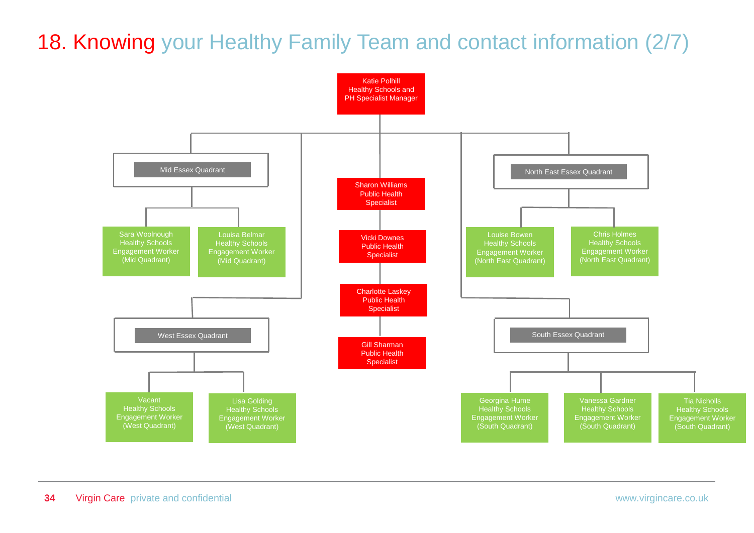### 18. Knowing your Healthy Family Team and contact information (2/7)

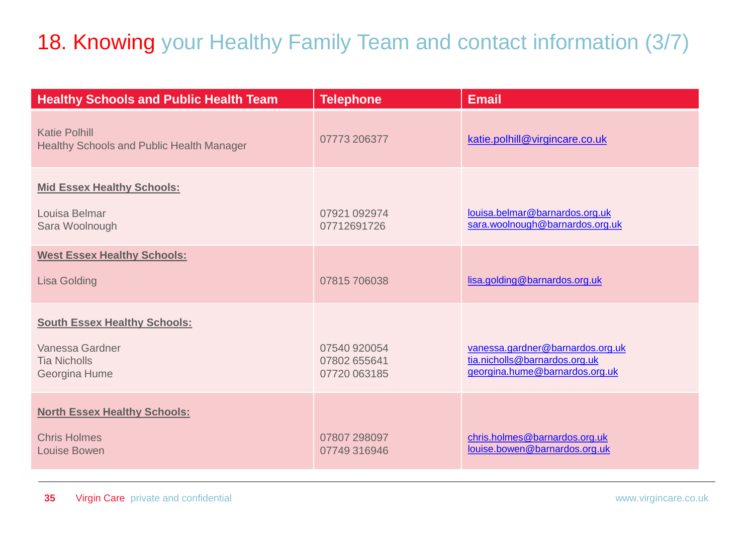### 18. Knowing your Healthy Family Team and contact information (3/7)

| <b>Healthy Schools and Public Health Team</b>                            | <b>Telephone</b>             | Email                                                             |
|--------------------------------------------------------------------------|------------------------------|-------------------------------------------------------------------|
| <b>Katie Polhill</b><br><b>Healthy Schools and Public Health Manager</b> | 07773 206377                 | katie.polhill@virgincare.co.uk                                    |
| <b>Mid Essex Healthy Schools:</b><br>Louisa Belmar                       | 07921 092974                 | louisa.belmar@barnardos.org.uk                                    |
| Sara Woolnough                                                           | 07712691726                  | sara.woolnough@barnardos.org.uk                                   |
| <b>West Essex Healthy Schools:</b>                                       |                              |                                                                   |
| <b>Lisa Golding</b>                                                      | 07815706038                  | lisa.golding@barnardos.org.uk                                     |
| <b>South Essex Healthy Schools:</b>                                      |                              |                                                                   |
| Vanessa Gardner<br><b>Tia Nicholls</b>                                   | 07540 920054<br>07802 655641 | vanessa.gardner@barnardos.org.uk<br>tia.nicholls@barnardos.org.uk |
| Georgina Hume                                                            | 07720 063185                 | georgina.hume@barnardos.org.uk                                    |
| <b>North Essex Healthy Schools:</b>                                      |                              |                                                                   |
| <b>Chris Holmes</b><br><b>Louise Bowen</b>                               | 07807 298097<br>07749316946  | chris.holmes@barnardos.org.uk<br>louise.bowen@barnardos.org.uk    |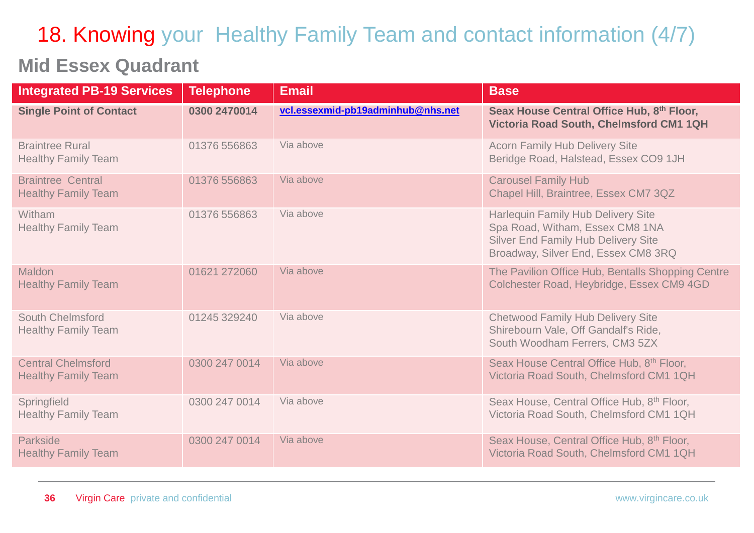# 18. Knowing your Healthy Family Team and contact information (4/7)

#### **Mid Essex Quadrant**

| <b>Integrated PB-19 Services</b>                        | <b>Telephone</b> | <b>Email</b>                      | <b>Base</b>                                                                                                                                                       |
|---------------------------------------------------------|------------------|-----------------------------------|-------------------------------------------------------------------------------------------------------------------------------------------------------------------|
| <b>Single Point of Contact</b>                          | 0300 2470014     | vcl.essexmid-pb19adminhub@nhs.net | Seax House Central Office Hub, 8th Floor,<br>Victoria Road South, Chelmsford CM1 1QH                                                                              |
| <b>Braintree Rural</b><br><b>Healthy Family Team</b>    | 01376 556863     | Via above                         | <b>Acorn Family Hub Delivery Site</b><br>Beridge Road, Halstead, Essex CO9 1JH                                                                                    |
| <b>Braintree Central</b><br><b>Healthy Family Team</b>  | 01376 556863     | Via above                         | <b>Carousel Family Hub</b><br>Chapel Hill, Braintree, Essex CM7 3QZ                                                                                               |
| Witham<br><b>Healthy Family Team</b>                    | 01376 556863     | Via above                         | <b>Harlequin Family Hub Delivery Site</b><br>Spa Road, Witham, Essex CM8 1NA<br><b>Silver End Family Hub Delivery Site</b><br>Broadway, Silver End, Essex CM8 3RQ |
| Maldon<br><b>Healthy Family Team</b>                    | 01621 272060     | Via above                         | The Pavilion Office Hub, Bentalls Shopping Centre<br>Colchester Road, Heybridge, Essex CM9 4GD                                                                    |
| <b>South Chelmsford</b><br><b>Healthy Family Team</b>   | 01245 329240     | Via above                         | <b>Chetwood Family Hub Delivery Site</b><br>Shirebourn Vale, Off Gandalf's Ride,<br>South Woodham Ferrers, CM3 5ZX                                                |
| <b>Central Chelmsford</b><br><b>Healthy Family Team</b> | 0300 247 0014    | Via above                         | Seax House Central Office Hub, 8th Floor,<br>Victoria Road South, Chelmsford CM1 1QH                                                                              |
| Springfield<br><b>Healthy Family Team</b>               | 0300 247 0014    | Via above                         | Seax House, Central Office Hub, 8th Floor,<br>Victoria Road South, Chelmsford CM1 1QH                                                                             |
| <b>Parkside</b><br><b>Healthy Family Team</b>           | 0300 247 0014    | Via above                         | Seax House, Central Office Hub, 8th Floor,<br>Victoria Road South, Chelmsford CM1 1QH                                                                             |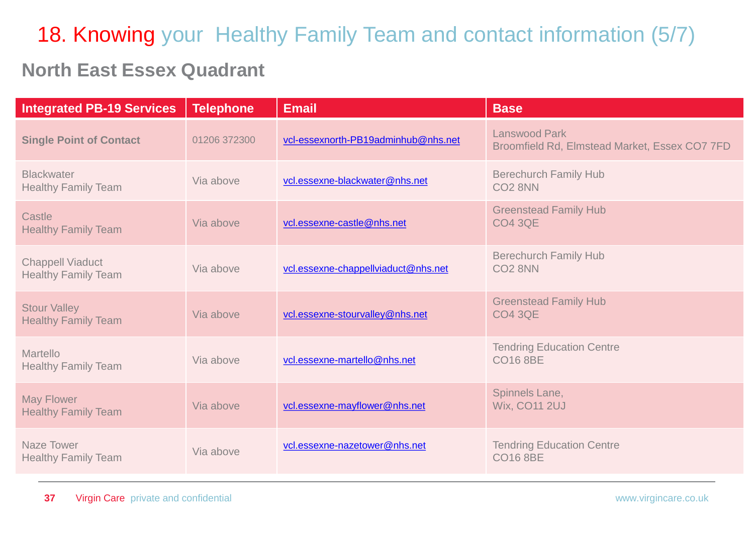## 18. Knowing your Healthy Family Team and contact information (5/7)

#### **North East Essex Quadrant**

| <b>Integrated PB-19 Services</b>                      | <b>Telephone</b> | <b>Email</b>                        | <b>Base</b>                                                           |
|-------------------------------------------------------|------------------|-------------------------------------|-----------------------------------------------------------------------|
| <b>Single Point of Contact</b>                        | 01206 372300     | vcl-essexnorth-PB19adminhub@nhs.net | <b>Lanswood Park</b><br>Broomfield Rd, Elmstead Market, Essex CO7 7FD |
| <b>Blackwater</b><br><b>Healthy Family Team</b>       | Via above        | vcl.essexne-blackwater@nhs.net      | <b>Berechurch Family Hub</b><br>CO <sub>2</sub> 8NN                   |
| Castle<br><b>Healthy Family Team</b>                  | Via above        | vcl.essexne-castle@nhs.net          | <b>Greenstead Family Hub</b><br><b>CO4 3QE</b>                        |
| <b>Chappell Viaduct</b><br><b>Healthy Family Team</b> | Via above        | vcl.essexne-chappellviaduct@nhs.net | <b>Berechurch Family Hub</b><br>CO <sub>2</sub> 8NN                   |
| <b>Stour Valley</b><br><b>Healthy Family Team</b>     | Via above        | vcl.essexne-stourvalley@nhs.net     | <b>Greenstead Family Hub</b><br><b>CO4 3QE</b>                        |
| Martello<br><b>Healthy Family Team</b>                | Via above        | vcl.essexne-martello@nhs.net        | <b>Tendring Education Centre</b><br><b>CO16 8BE</b>                   |
| <b>May Flower</b><br><b>Healthy Family Team</b>       | Via above        | vcl.essexne-mayflower@nhs.net       | Spinnels Lane,<br>Wix, CO11 2UJ                                       |
| <b>Naze Tower</b><br><b>Healthy Family Team</b>       | Via above        | vcl.essexne-nazetower@nhs.net       | <b>Tendring Education Centre</b><br><b>CO16 8BE</b>                   |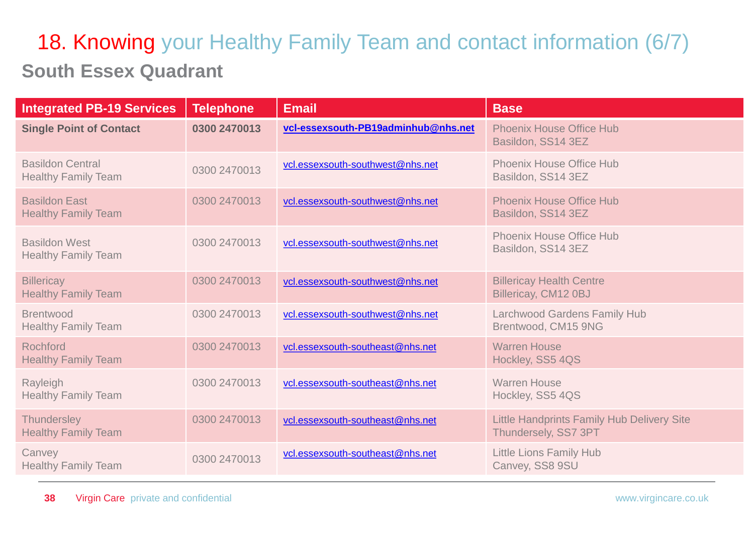### **South Essex Quadrant** 18. Knowing your Healthy Family Team and contact information (6/7)

| <b>Integrated PB-19 Services</b>                      | <b>Telephone</b> | Email                               | <b>Base</b>                                                               |
|-------------------------------------------------------|------------------|-------------------------------------|---------------------------------------------------------------------------|
| <b>Single Point of Contact</b>                        | 0300 2470013     | vcl-essexsouth-PB19adminhub@nhs.net | <b>Phoenix House Office Hub</b><br>Basildon, SS14 3EZ                     |
| <b>Basildon Central</b><br><b>Healthy Family Team</b> | 0300 2470013     | vcl.essexsouth-southwest@nhs.net    | <b>Phoenix House Office Hub</b><br>Basildon, SS14 3EZ                     |
| <b>Basildon East</b><br><b>Healthy Family Team</b>    | 0300 2470013     | vcl.essexsouth-southwest@nhs.net    | <b>Phoenix House Office Hub</b><br>Basildon, SS14 3EZ                     |
| <b>Basildon West</b><br><b>Healthy Family Team</b>    | 0300 2470013     | vcl.essexsouth-southwest@nhs.net    | <b>Phoenix House Office Hub</b><br>Basildon, SS14 3EZ                     |
| <b>Billericay</b><br><b>Healthy Family Team</b>       | 0300 2470013     | vcl.essexsouth-southwest@nhs.net    | <b>Billericay Health Centre</b><br>Billericay, CM12 0BJ                   |
| <b>Brentwood</b><br><b>Healthy Family Team</b>        | 0300 2470013     | vcl.essexsouth-southwest@nhs.net    | <b>Larchwood Gardens Family Hub</b><br>Brentwood, CM15 9NG                |
| <b>Rochford</b><br><b>Healthy Family Team</b>         | 0300 2470013     | vcl.essexsouth-southeast@nhs.net    | <b>Warren House</b><br>Hockley, SS5 4QS                                   |
| Rayleigh<br><b>Healthy Family Team</b>                | 0300 2470013     | vcl.essexsouth-southeast@nhs.net    | <b>Warren House</b><br>Hockley, SS5 4QS                                   |
| <b>Thundersley</b><br><b>Healthy Family Team</b>      | 0300 2470013     | vcl.essexsouth-southeast@nhs.net    | <b>Little Handprints Family Hub Delivery Site</b><br>Thundersely, SS7 3PT |
| Canvey<br><b>Healthy Family Team</b>                  | 0300 2470013     | vcl.essexsouth-southeast@nhs.net    | <b>Little Lions Family Hub</b><br>Canvey, SS8 9SU                         |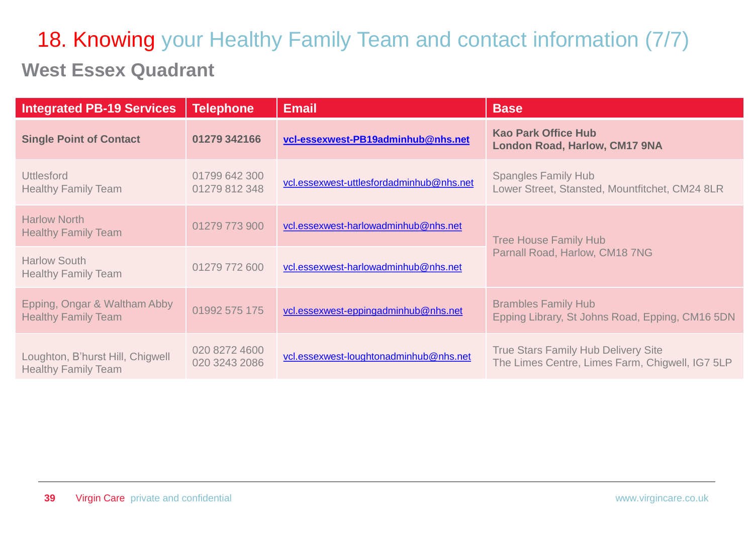## **West Essex Quadrant** 18. Knowing your Healthy Family Team and contact information (7/7)

| <b>Integrated PB-19 Services</b>                               | <b>Telephone</b>               | <b>Email</b>                             | <b>Base</b>                                                                                   |
|----------------------------------------------------------------|--------------------------------|------------------------------------------|-----------------------------------------------------------------------------------------------|
| <b>Single Point of Contact</b>                                 | 01279 342166                   | vcl-essexwest-PB19adminhub@nhs.net       | <b>Kao Park Office Hub</b><br><b>London Road, Harlow, CM17 9NA</b>                            |
| <b>Uttlesford</b><br><b>Healthy Family Team</b>                | 01799 642 300<br>01279 812 348 | vcl.essexwest-uttlesfordadminhub@nhs.net | <b>Spangles Family Hub</b><br>Lower Street, Stansted, Mountfitchet, CM24 8LR                  |
| <b>Harlow North</b><br><b>Healthy Family Team</b>              | 01279 773 900                  | vcl.essexwest-harlowadminhub@nhs.net     | <b>Tree House Family Hub</b><br>Parnall Road, Harlow, CM18 7NG                                |
| <b>Harlow South</b><br><b>Healthy Family Team</b>              | 01279 772 600                  | vcl.essexwest-harlowadminhub@nhs.net     |                                                                                               |
| Epping, Ongar & Waltham Abby<br><b>Healthy Family Team</b>     | 01992 575 175                  | vcl.essexwest-eppingadminhub@nhs.net     | <b>Brambles Family Hub</b><br>Epping Library, St Johns Road, Epping, CM16 5DN                 |
| Loughton, B'hurst Hill, Chigwell<br><b>Healthy Family Team</b> | 020 8272 4600<br>020 3243 2086 | vcl.essexwest-loughtonadminhub@nhs.net   | <b>True Stars Family Hub Delivery Site</b><br>The Limes Centre, Limes Farm, Chigwell, IG7 5LP |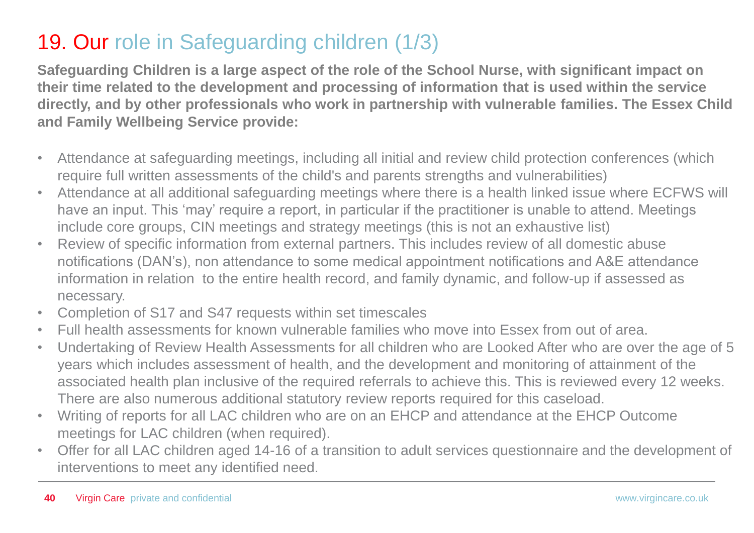### 19. Our role in Safeguarding children (1/3)

**Safeguarding Children is a large aspect of the role of the School Nurse, with significant impact on their time related to the development and processing of information that is used within the service directly, and by other professionals who work in partnership with vulnerable families. The Essex Child and Family Wellbeing Service provide:**

- Attendance at safeguarding meetings, including all initial and review child protection conferences (which require full written assessments of the child's and parents strengths and vulnerabilities)
- Attendance at all additional safeguarding meetings where there is a health linked issue where ECFWS will have an input. This 'may' require a report, in particular if the practitioner is unable to attend. Meetings include core groups, CIN meetings and strategy meetings (this is not an exhaustive list)
- Review of specific information from external partners. This includes review of all domestic abuse notifications (DAN's), non attendance to some medical appointment notifications and A&E attendance information in relation to the entire health record, and family dynamic, and follow-up if assessed as necessary.
- Completion of S17 and S47 requests within set timescales
- Full health assessments for known vulnerable families who move into Essex from out of area.
- Undertaking of Review Health Assessments for all children who are Looked After who are over the age of 5 years which includes assessment of health, and the development and monitoring of attainment of the associated health plan inclusive of the required referrals to achieve this. This is reviewed every 12 weeks. There are also numerous additional statutory review reports required for this caseload.
- Writing of reports for all LAC children who are on an EHCP and attendance at the EHCP Outcome meetings for LAC children (when required).
- Offer for all LAC children aged 14-16 of a transition to adult services questionnaire and the development of interventions to meet any identified need.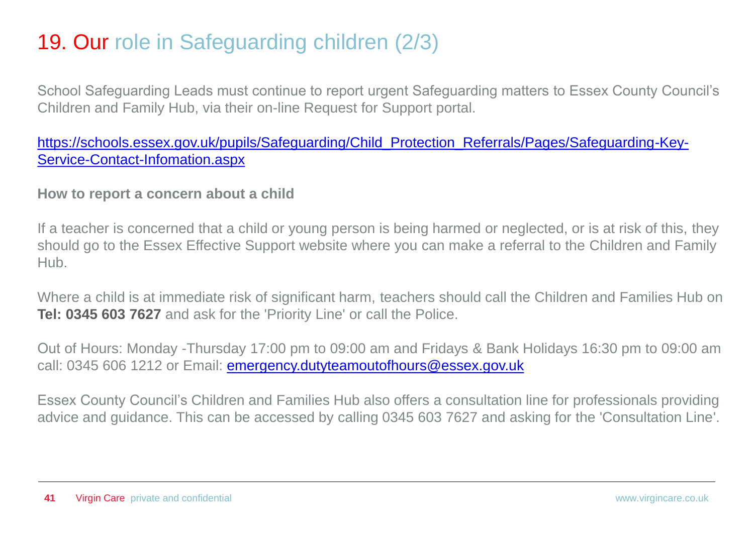#### 19. Our role in Safeguarding children (2/3)

School Safeguarding Leads must continue to report urgent Safeguarding matters to Essex County Council's Children and Family Hub, via their on-line Request for Support portal.

[https://schools.essex.gov.uk/pupils/Safeguarding/Child\\_Protection\\_Referrals/Pages/Safeguarding-Key-](https://schools.essex.gov.uk/pupils/Safeguarding/Child_Protection_Referrals/Pages/Safeguarding-Key-Service-Contact-Infomation.aspx)[Service-Contact-Infomation.aspx](https://schools.essex.gov.uk/pupils/Safeguarding/Child_Protection_Referrals/Pages/Safeguarding-Key-Service-Contact-Infomation.aspx)

**How to report a concern about a child**

If a teacher is concerned that a child or young person is being harmed or neglected, or is at risk of this, they should go to the Essex Effective Support website where you can make a referral to the Children and Family Hub.

Where a child is at immediate risk of significant harm, teachers should call the Children and Families Hub on **Tel: 0345 603 7627** and ask for the 'Priority Line' or call the Police.

Out of Hours: Monday -Thursday 17:00 pm to 09:00 am and Fridays & Bank Holidays 16:30 pm to 09:00 am call: 0345 606 1212 or Email: **emergency.dutyteamoutofhours@essex.gov.uk** 

Essex County Council's Children and Families Hub also offers a consultation line for professionals providing advice and guidance. This can be accessed by calling 0345 603 7627 and asking for the 'Consultation Line'.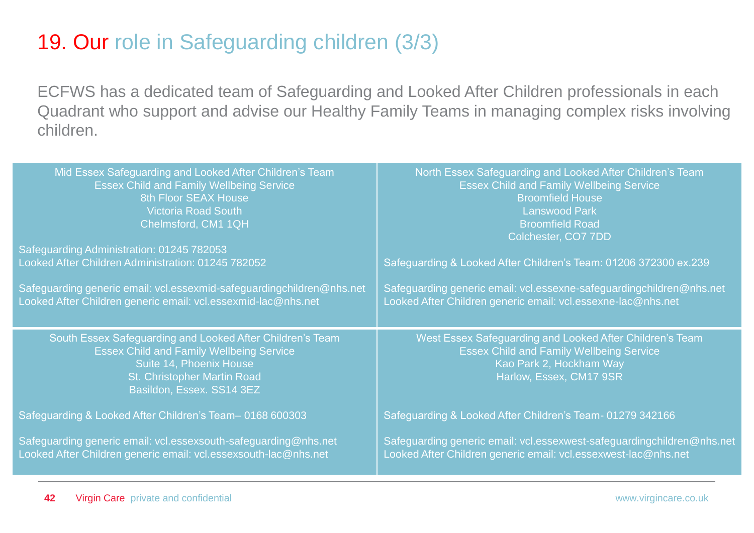#### 19. Our role in Safeguarding children (3/3)

ECFWS has a dedicated team of Safeguarding and Looked After Children professionals in each Quadrant who support and advise our Healthy Family Teams in managing complex risks involving children.

| Mid Essex Safeguarding and Looked After Children's Team                                                                                                                                             | North Essex Safeguarding and Looked After Children's Team                                                                                                         |
|-----------------------------------------------------------------------------------------------------------------------------------------------------------------------------------------------------|-------------------------------------------------------------------------------------------------------------------------------------------------------------------|
| <b>Essex Child and Family Wellbeing Service</b>                                                                                                                                                     | <b>Essex Child and Family Wellbeing Service</b>                                                                                                                   |
| 8th Floor SEAX House                                                                                                                                                                                | <b>Broomfield House</b>                                                                                                                                           |
| <b>Victoria Road South</b>                                                                                                                                                                          | <b>Lanswood Park</b>                                                                                                                                              |
| Chelmsford, CM1 1QH                                                                                                                                                                                 | <b>Broomfield Road</b>                                                                                                                                            |
| Safeguarding Administration: 01245 782053                                                                                                                                                           | Colchester, CO7 7DD                                                                                                                                               |
| Looked After Children Administration: 01245 782052                                                                                                                                                  | Safeguarding & Looked After Children's Team: 01206 372300 ex.239                                                                                                  |
| Safeguarding generic email: vcl.essexmid-safeguardingchildren@nhs.net                                                                                                                               | Safeguarding generic email: vcl.essexne-safeguardingchildren@nhs.net                                                                                              |
| Looked After Children generic email: vcl.essexmid-lac@nhs.net                                                                                                                                       | Looked After Children generic email: vcl.essexne-lac@nhs.net                                                                                                      |
| South Essex Safeguarding and Looked After Children's Team<br><b>Essex Child and Family Wellbeing Service</b><br>Suite 14, Phoenix House<br>St. Christopher Martin Road<br>Basildon, Essex. SS14 3EZ | West Essex Safeguarding and Looked After Children's Team<br><b>Essex Child and Family Wellbeing Service</b><br>Kao Park 2, Hockham Way<br>Harlow, Essex, CM17 9SR |
| Safeguarding & Looked After Children's Team-0168 600303                                                                                                                                             | Safeguarding & Looked After Children's Team- 01279 342166                                                                                                         |
| Safeguarding generic email: vcl.essexsouth-safeguarding@nhs.net                                                                                                                                     | Safeguarding generic email: vcl.essexwest-safeguardingchildren@nhs.net                                                                                            |
| Looked After Children generic email: vcl.essexsouth-lac@nhs.net                                                                                                                                     | Looked After Children generic email: vcl.essexwest-lac@nhs.net                                                                                                    |